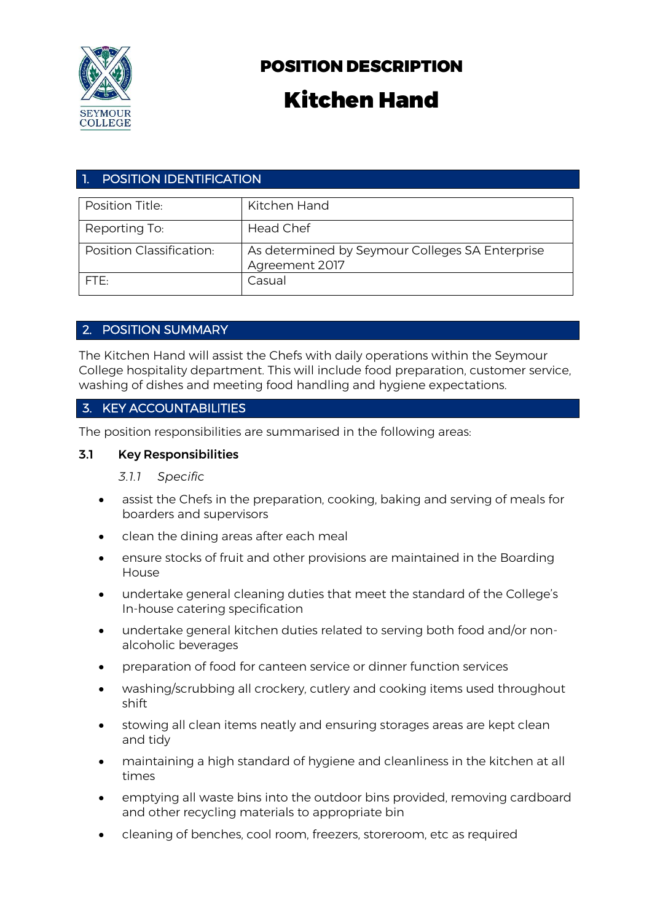

# POSITION DESCRIPTION

# Kitchen Hand

# 1. POSITION IDENTIFICATION

| Position Title:          | Kitchen Hand                                                      |
|--------------------------|-------------------------------------------------------------------|
| Reporting To:            | <b>Head Chef</b>                                                  |
| Position Classification: | As determined by Seymour Colleges SA Enterprise<br>Agreement 2017 |
| FTF.                     | Casual                                                            |

# 2. POSITION SUMMARY

The Kitchen Hand will assist the Chefs with daily operations within the Seymour College hospitality department. This will include food preparation, customer service, washing of dishes and meeting food handling and hygiene expectations.

# 3. KEY ACCOUNTABILITIES

The position responsibilities are summarised in the following areas:

#### 3.1 Key Responsibilities

#### *3.1.1 Specific*

- assist the Chefs in the preparation, cooking, baking and serving of meals for boarders and supervisors
- clean the dining areas after each meal
- ensure stocks of fruit and other provisions are maintained in the Boarding House
- undertake general cleaning duties that meet the standard of the College's In-house catering specification
- undertake general kitchen duties related to serving both food and/or nonalcoholic beverages
- preparation of food for canteen service or dinner function services
- washing/scrubbing all crockery, cutlery and cooking items used throughout shift
- stowing all clean items neatly and ensuring storages areas are kept clean and tidy
- maintaining a high standard of hygiene and cleanliness in the kitchen at all times
- emptying all waste bins into the outdoor bins provided, removing cardboard and other recycling materials to appropriate bin
- cleaning of benches, cool room, freezers, storeroom, etc as required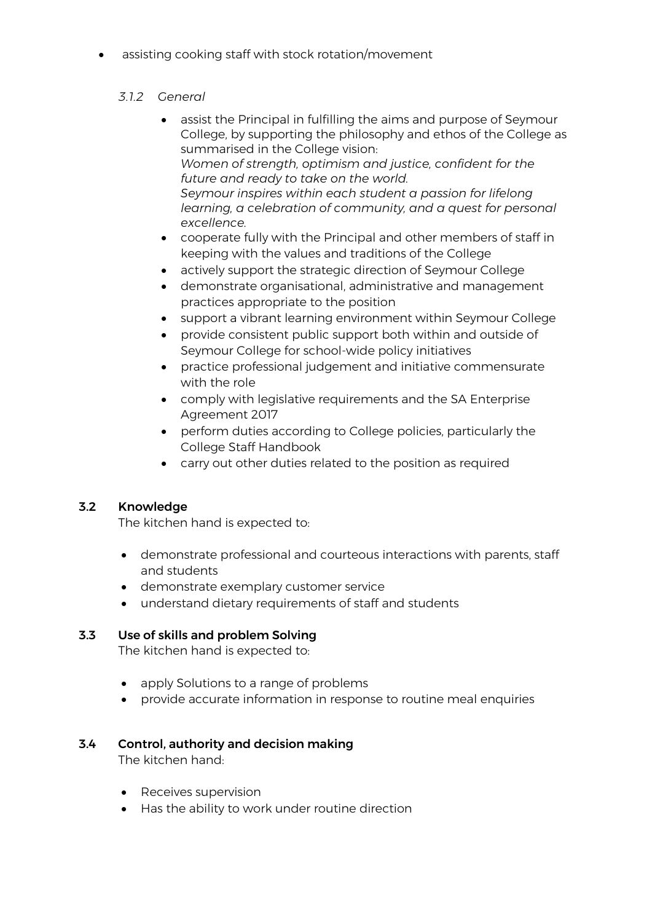assisting cooking staff with stock rotation/movement

#### *3.1.2 General*

- assist the Principal in fulfilling the aims and purpose of Seymour College, by supporting the philosophy and ethos of the College as summarised in the College vision: *Women of strength, optimism and justice, confident for the future and ready to take on the world. Seymour inspires within each student a passion for lifelong learning, a celebration of community, and a quest for personal excellence.*
- cooperate fully with the Principal and other members of staff in keeping with the values and traditions of the College
- actively support the strategic direction of Seymour College
- demonstrate organisational, administrative and management practices appropriate to the position
- support a vibrant learning environment within Seymour College
- provide consistent public support both within and outside of Seymour College for school-wide policy initiatives
- practice professional judgement and initiative commensurate with the role
- comply with legislative requirements and the SA Enterprise Agreement 2017
- perform duties according to College policies, particularly the College Staff Handbook
- carry out other duties related to the position as required

# 3.2 Knowledge

The kitchen hand is expected to:

- demonstrate professional and courteous interactions with parents, staff and students
- demonstrate exemplary customer service
- understand dietary requirements of staff and students

#### 3.3 Use of skills and problem Solving

The kitchen hand is expected to:

- apply Solutions to a range of problems
- provide accurate information in response to routine meal enquiries

# 3.4 Control, authority and decision making

The kitchen hand:

- Receives supervision
- Has the ability to work under routine direction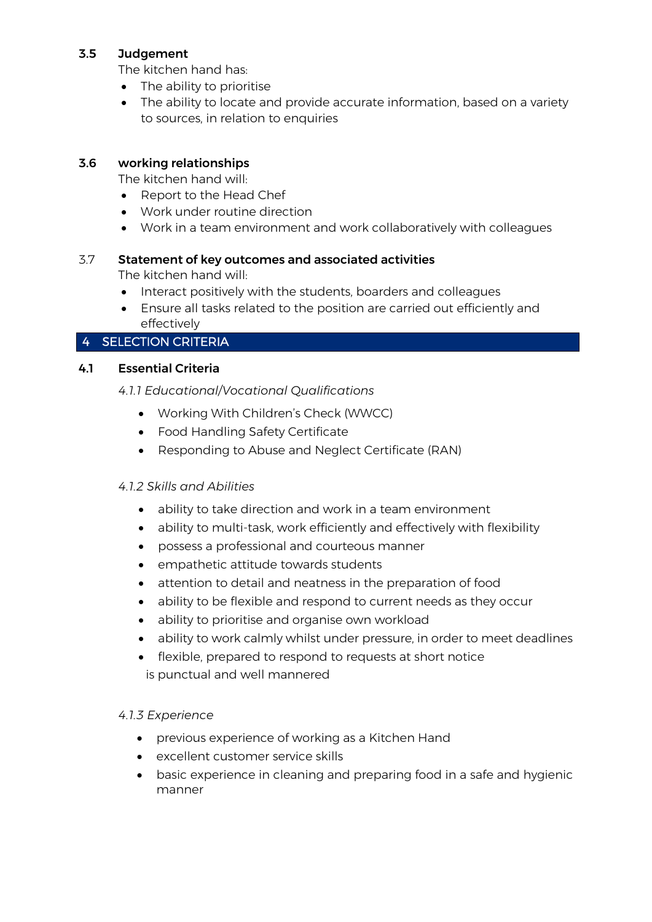#### 3.5 Judgement

The kitchen hand has:

- The ability to prioritise
- The ability to locate and provide accurate information, based on a variety to sources, in relation to enquiries

#### 3.6 working relationships

The kitchen hand will:

- Report to the Head Chef
- Work under routine direction
- Work in a team environment and work collaboratively with colleagues

#### 3.7 Statement of key outcomes and associated activities

The kitchen hand will:

- Interact positively with the students, boarders and colleagues
- Ensure all tasks related to the position are carried out efficiently and effectively

#### 4 SELECTION CRITERIA

#### 4.1 Essential Criteria

#### *4.1.1 Educational/Vocational Qualifications*

- Working With Children's Check (WWCC)
- Food Handling Safety Certificate
- Responding to Abuse and Neglect Certificate (RAN)

# *4.1.2 Skills and Abilities*

- ability to take direction and work in a team environment
- ability to multi-task, work efficiently and effectively with flexibility
- possess a professional and courteous manner
- empathetic attitude towards students
- attention to detail and neatness in the preparation of food
- ability to be flexible and respond to current needs as they occur
- ability to prioritise and organise own workload
- ability to work calmly whilst under pressure, in order to meet deadlines
- flexible, prepared to respond to requests at short notice is punctual and well mannered

#### *4.1.3 Experience*

- previous experience of working as a Kitchen Hand
- excellent customer service skills
- basic experience in cleaning and preparing food in a safe and hygienic manner